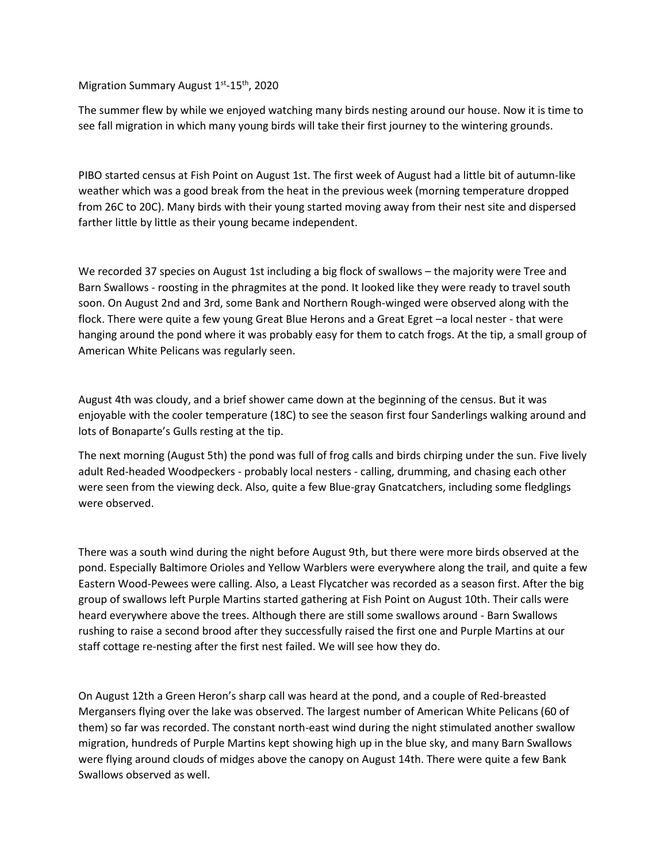Migration Summary August 1<sup>st</sup>-15<sup>th</sup>, 2020

The summer flew by while we enjoyed watching many birds nesting around our house. Now it is time to see fall migration in which many young birds will take their first journey to the wintering grounds.

PIBO started census at Fish Point on August 1st. The first week of August had a little bit of autumn-like weather which was a good break from the heat in the previous week (morning temperature dropped from 26C to 20C). Many birds with their young started moving away from their nest site and dispersed farther little by little as their young became independent.

We recorded 37 species on August 1st including a big flock of swallows – the majority were Tree and Barn Swallows - roosting in the phragmites at the pond. It looked like they were ready to travel south soon. On August 2nd and 3rd, some Bank and Northern Rough-winged were observed along with the flock. There were quite a few young Great Blue Herons and a Great Egret -a local nester - that were hanging around the pond where it was probably easy for them to catch frogs. At the tip, a small group of American White Pelicans was regularly seen.

August 4th was cloudy, and a brief shower came down at the beginning of the census. But it was enjoyable with the cooler temperature (18C) to see the season first four Sanderlings walking around and lots of Bonaparte's Gulls resting at the tip.

The next morning (August 5th) the pond was full of frog calls and birds chirping under the sun. Five lively adult Red-headed Woodpeckers - probably local nesters - calling, drumming, and chasing each other were seen from the viewing deck. Also, quite a few Blue-gray Gnatcatchers, including some fledglings were observed.

There was a south wind during the night before August 9th, but there were more birds observed at the pond. Especially Baltimore Orioles and Yellow Warblers were everywhere along the trail, and quite a few Eastern Wood-Pewees were calling. Also, a Least Flycatcher was recorded as a season first. After the big group of swallows left Purple Martins started gathering at Fish Point on August 10th. Their calls were heard everywhere above the trees. Although there are still some swallows around - Barn Swallows rushing to raise a second brood after they successfully raised the first one and Purple Martins at our staff cottage re-nesting after the first nest failed. We will see how they do.

On August 12th a Green Heron's sharp call was heard at the pond, and a couple of Red-breasted Mergansers flying over the lake was observed. The largest number of American White Pelicans (60 of them) so far was recorded. The constant north-east wind during the night stimulated another swallow migration, hundreds of Purple Martins kept showing high up in the blue sky, and many Barn Swallows were flying around clouds of midges above the canopy on August 14th. There were quite a few Bank Swallows observed as well.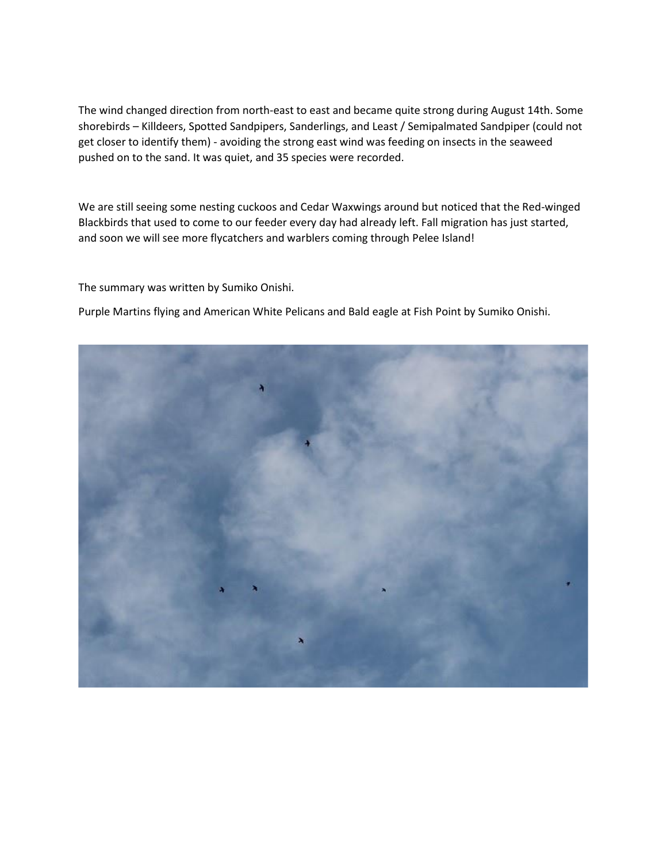The wind changed direction from north-east to east and became quite strong during August 14th. Some shorebirds – Killdeers, Spotted Sandpipers, Sanderlings, and Least / Semipalmated Sandpiper (could not get closer to identify them) - avoiding the strong east wind was feeding on insects in the seaweed pushed on to the sand. It was quiet, and 35 species were recorded.

We are still seeing some nesting cuckoos and Cedar Waxwings around but noticed that the Red-winged Blackbirds that used to come to our feeder every day had already left. Fall migration has just started, and soon we will see more flycatchers and warblers coming through Pelee Island!

The summary was written by Sumiko Onishi.

Purple Martins flying and American White Pelicans and Bald eagle at Fish Point by Sumiko Onishi.